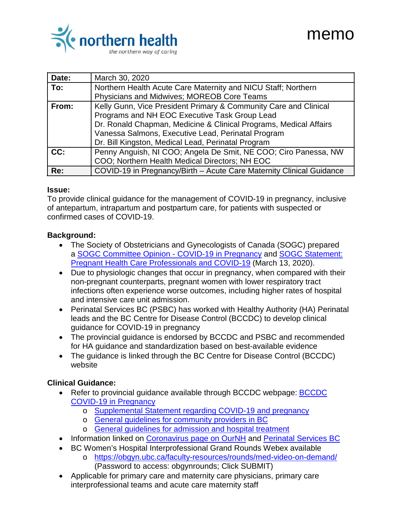

| Date: | March 30, 2020                                                       |
|-------|----------------------------------------------------------------------|
| To:   | Northern Health Acute Care Maternity and NICU Staff; Northern        |
|       | Physicians and Midwives; MOREOB Core Teams                           |
| From: | Kelly Gunn, Vice President Primary & Community Care and Clinical     |
|       | Programs and NH EOC Executive Task Group Lead                        |
|       | Dr. Ronald Chapman, Medicine & Clinical Programs, Medical Affairs    |
|       | Vanessa Salmons, Executive Lead, Perinatal Program                   |
|       | Dr. Bill Kingston, Medical Lead, Perinatal Program                   |
| CC:   | Penny Anguish, NI COO; Angela De Smit, NE COO; Ciro Panessa, NW      |
|       | COO; Northern Health Medical Directors; NH EOC                       |
| Re:   | COVID-19 in Pregnancy/Birth - Acute Care Maternity Clinical Guidance |

## **Issue:**

To provide clinical guidance for the management of COVID-19 in pregnancy, inclusive of antepartum, intrapartum and postpartum care, for patients with suspected or confirmed cases of COVID-19.

## **Background:**

- The Society of Obstetricians and Gynecologists of Canada (SOGC) prepared a [SOGC Committee Opinion -](https://sogc.org/en/content/featured-news/Updated-SOGC-Committee-Opinion%E2%80%93%20COVID-19-in-Pregnancy.aspx) COVID-19 in Pregnancy and [SOGC Statement:](https://sogc.org/en/content/featured-news/SOGC-Statement-Pregnant-Health-Care-Professionals-and-COVID-19.aspx)  [Pregnant Health Care Professionals and COVID-19](https://sogc.org/en/content/featured-news/SOGC-Statement-Pregnant-Health-Care-Professionals-and-COVID-19.aspx) (March 13, 2020).
- Due to physiologic changes that occur in pregnancy, when compared with their non-pregnant counterparts, pregnant women with lower respiratory tract infections often experience worse outcomes, including higher rates of hospital and intensive care unit admission.
- Perinatal Services BC (PSBC) has worked with Healthy Authority (HA) Perinatal leads and the BC Centre for Disease Control (BCCDC) to develop clinical guidance for COVID-19 in pregnancy
- The provincial guidance is endorsed by BCCDC and PSBC and recommended for HA guidance and standardization based on best-available evidence
- The guidance is linked through the BC Centre for Disease Control (BCCDC) website

## **Clinical Guidance:**

- Refer to provincial guidance available through [BCCDC](http://www.bccdc.ca/health-professionals/clinical-resources/covid-19-care/clinical-care/pregnancy) webpage: **BCCDC** [COVID-19 in Pregnancy](http://www.bccdc.ca/health-professionals/clinical-resources/covid-19-care/clinical-care/pregnancy)
	- o [Supplemental Statement regarding COVID-19 and pregnancy](http://www.bccdc.ca/Health-Professionals-Site/Documents/COVID19_SuppStatementReCOVIDandPregnancy.pdf)
	- o [General guidelines for community providers in BC](http://www.bccdc.ca/Health-Professionals-Site/Documents/Pregnancy-COVID19-Community-Providers.pdf)
	- o [General guidelines for admission and hospital treatment](http://www.bccdc.ca/Health-Professionals-Site/Documents/Pregnancy-COVID19-Hospital-Admission-Treatment.pdf)
- Information linked on [Coronavirus page on OurNH](https://ournh.northernhealth.ca/AboutNH/Emergency/Coronavirus/Pages/default.aspx) and [Perinatal Services BC](http://www.perinatalservicesbc.ca/)
- BC Women's Hospital Interprofessional Grand Rounds Webex available
	- o <https://obgyn.ubc.ca/faculty-resources/rounds/med-video-on-demand/> (Password to access: obgynrounds; Click SUBMIT)
- Applicable for primary care and maternity care physicians, primary care interprofessional teams and acute care maternity staff